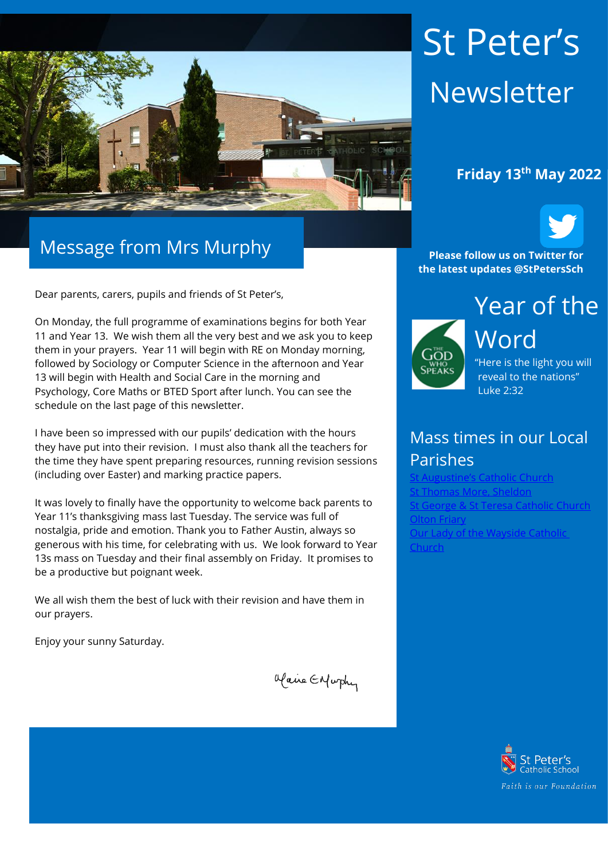

# Message from Mrs Murphy

Dear parents, carers, pupils and friends of St Peter's,

On Monday, the full programme of examinations begins for both Year 11 and Year 13. We wish them all the very best and we ask you to keep them in your prayers. Year 11 will begin with RE on Monday morning, followed by Sociology or Computer Science in the afternoon and Year 13 will begin with Health and Social Care in the morning and Psychology, Core Maths or BTED Sport after lunch. You can see the schedule on the last page of this newsletter.

I have been so impressed with our pupils' dedication with the hours they have put into their revision. I must also thank all the teachers for the time they have spent preparing resources, running revision sessions (including over Easter) and marking practice papers.

It was lovely to finally have the opportunity to welcome back parents to Year 11's thanksgiving mass last Tuesday. The service was full of nostalgia, pride and emotion. Thank you to Father Austin, always so generous with his time, for celebrating with us. We look forward to Year 13s mass on Tuesday and their final assembly on Friday. It promises to be a productive but poignant week.

We all wish them the best of luck with their revision and have them in our prayers.

Enjoy your sunny Saturday.

Maine Enfurthy

# St Peter's Newsletter

## **Friday 13th May 2022**



**Please follow us on Twitter for the latest updates @StPetersSch**



Word "Here is the light you will reveal to the nations"

## Mass times in our Local Parishes

Luke 2:32

**Sugustine's Catholic Church** homas More, Sheldon <u>.</u><br>Seorge & St Teresa Catholic Church **[Olton Friary](https://www.oltonfriary.org.uk/)** [Our Lady of the Wayside Catholic](http://ourladyofthewaysidechurchshirley.co.uk/)  [Church](http://ourladyofthewaysidechurchshirley.co.uk/)

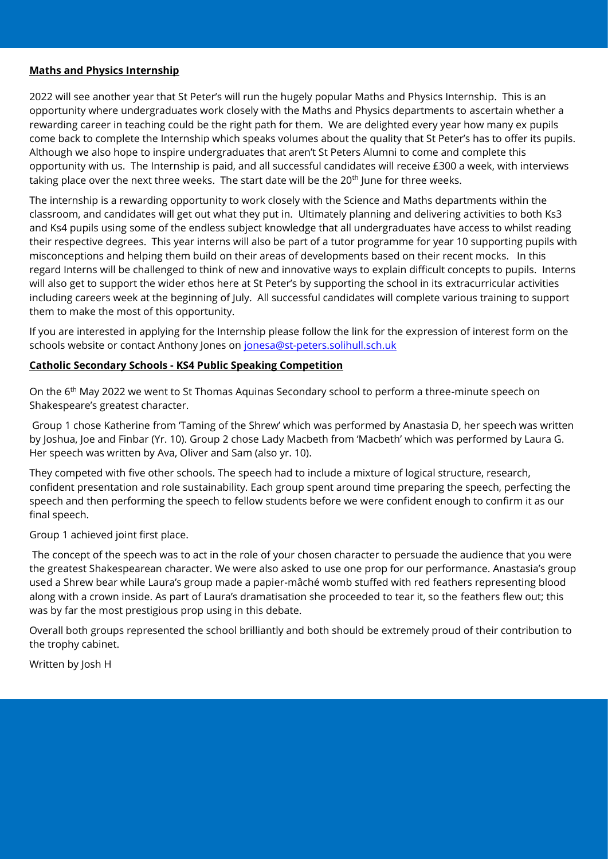#### **Maths and Physics Internship**

2022 will see another year that St Peter's will run the hugely popular Maths and Physics Internship. This is an opportunity where undergraduates work closely with the Maths and Physics departments to ascertain whether a rewarding career in teaching could be the right path for them. We are delighted every year how many ex pupils come back to complete the Internship which speaks volumes about the quality that St Peter's has to offer its pupils. Although we also hope to inspire undergraduates that aren't St Peters Alumni to come and complete this opportunity with us. The Internship is paid, and all successful candidates will receive £300 a week, with interviews taking place over the next three weeks. The start date will be the 20<sup>th</sup> June for three weeks.

The internship is a rewarding opportunity to work closely with the Science and Maths departments within the classroom, and candidates will get out what they put in. Ultimately planning and delivering activities to both Ks3 and Ks4 pupils using some of the endless subject knowledge that all undergraduates have access to whilst reading their respective degrees. This year interns will also be part of a tutor programme for year 10 supporting pupils with misconceptions and helping them build on their areas of developments based on their recent mocks. In this regard Interns will be challenged to think of new and innovative ways to explain difficult concepts to pupils. Interns will also get to support the wider ethos here at St Peter's by supporting the school in its extracurricular activities including careers week at the beginning of July. All successful candidates will complete various training to support them to make the most of this opportunity.

If you are interested in applying for the Internship please follow the link for the expression of interest form on the schools website or contact Anthony Jones on [jonesa@st-peters.solihull.sch.uk](mailto:jonesa@st-peters.solihull.sch.uk)

#### **Catholic Secondary Schools - KS4 Public Speaking Competition**

On the 6<sup>th</sup> May 2022 we went to St Thomas Aquinas Secondary school to perform a three-minute speech on Shakespeare's greatest character.

Group 1 chose Katherine from 'Taming of the Shrew' which was performed by Anastasia D, her speech was written by Joshua, Joe and Finbar (Yr. 10). Group 2 chose Lady Macbeth from 'Macbeth' which was performed by Laura G. Her speech was written by Ava, Oliver and Sam (also yr. 10).

They competed with five other schools. The speech had to include a mixture of logical structure, research, confident presentation and role sustainability. Each group spent around time preparing the speech, perfecting the speech and then performing the speech to fellow students before we were confident enough to confirm it as our final speech.

Group 1 achieved joint first place.

The concept of the speech was to act in the role of your chosen character to persuade the audience that you were the greatest Shakespearean character. We were also asked to use one prop for our performance. Anastasia's group used a Shrew bear while Laura's group made a papier-mâché womb stuffed with red feathers representing blood along with a crown inside. As part of Laura's dramatisation she proceeded to tear it, so the feathers flew out; this was by far the most prestigious prop using in this debate.

Overall both groups represented the school brilliantly and both should be extremely proud of their contribution to the trophy cabinet.

Written by Josh H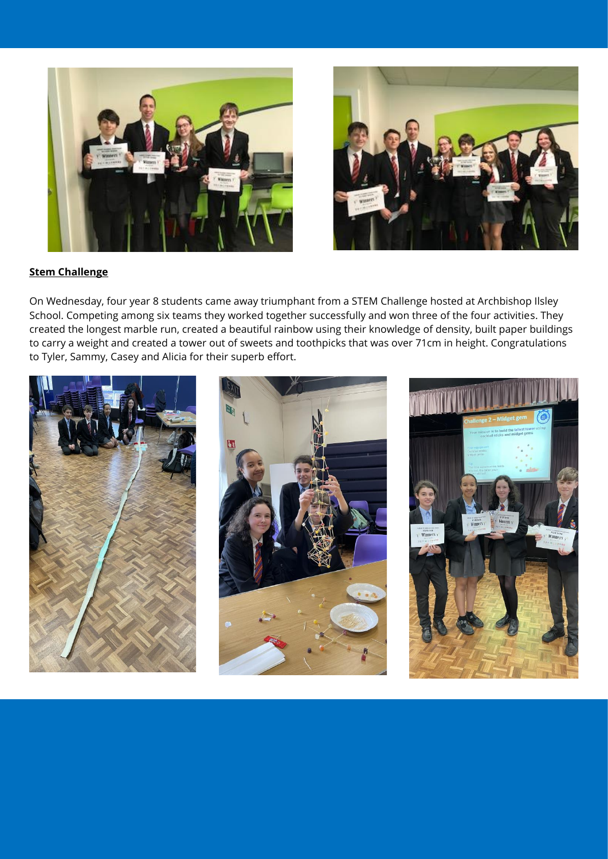



#### **Stem Challenge**

On Wednesday, four year 8 students came away triumphant from a STEM Challenge hosted at Archbishop Ilsley School. Competing among six teams they worked together successfully and won three of the four activities. They created the longest marble run, created a beautiful rainbow using their knowledge of density, built paper buildings to carry a weight and created a tower out of sweets and toothpicks that was over 71cm in height. Congratulations to Tyler, Sammy, Casey and Alicia for their superb effort.





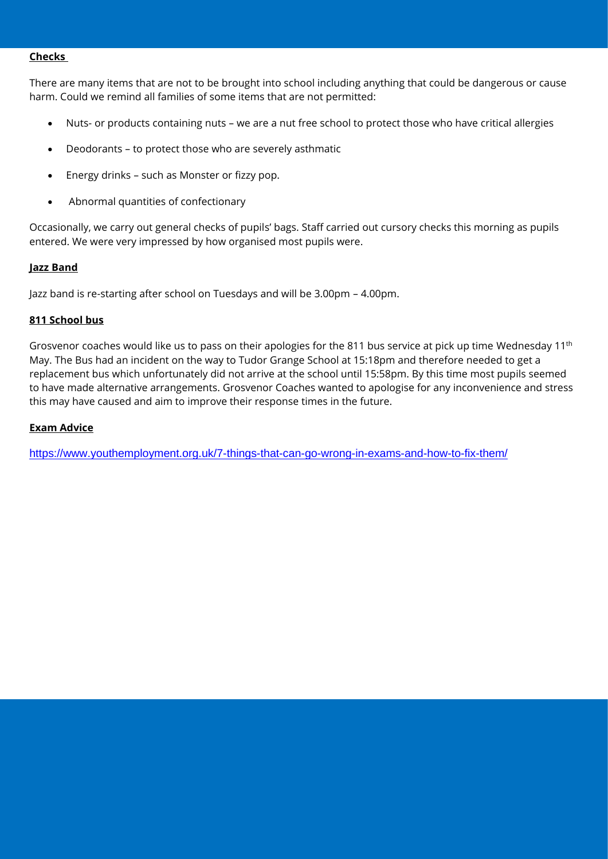#### **Checks**

There are many items that are not to be brought into school including anything that could be dangerous or cause harm. Could we remind all families of some items that are not permitted:

- Nuts- or products containing nuts we are a nut free school to protect those who have critical allergies
- Deodorants to protect those who are severely asthmatic
- Energy drinks such as Monster or fizzy pop.
- Abnormal quantities of confectionary

Occasionally, we carry out general checks of pupils' bags. Staff carried out cursory checks this morning as pupils entered. We were very impressed by how organised most pupils were.

#### **Jazz Band**

Jazz band is re-starting after school on Tuesdays and will be 3.00pm – 4.00pm.

#### **811 School bus**

Grosvenor coaches would like us to pass on their apologies for the 811 bus service at pick up time Wednesday  $11<sup>th</sup>$ May. The Bus had an incident on the way to Tudor Grange School at 15:18pm and therefore needed to get a replacement bus which unfortunately did not arrive at the school until 15:58pm. By this time most pupils seemed to have made alternative arrangements. Grosvenor Coaches wanted to apologise for any inconvenience and stress this may have caused and aim to improve their response times in the future.

#### **Exam Advice**

<https://www.youthemployment.org.uk/7-things-that-can-go-wrong-in-exams-and-how-to-fix-them/>